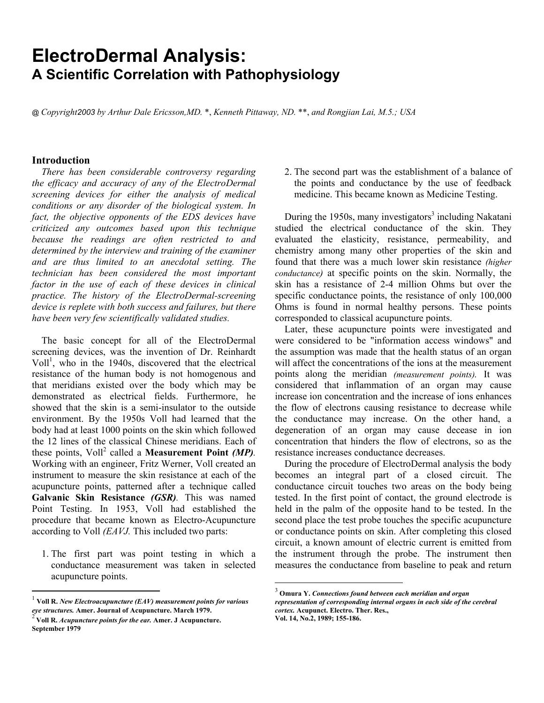# **ElectroDermal Analysis: A Scientific Correlation with Pathophysiology**

@ *Copyright2003 by Arthur Dale Ericsson,MD.* \*, *Kenneth Pittaway, ND.* \*\*, *and Rongjian Lai, M.5.; USA*

# **Introduction**

*There has been considerable controversy regarding the efficacy and accuracy of any of the ElectroDermal screening devices for either the analysis of medical conditions or any disorder of the biological system. In fact, the objective opponents of the EDS devices have criticized any outcomes based upon this technique because the readings are often restricted to and determined by the interview and training of the examiner and are thus limited to an anecdotal setting. The technician has been considered the most important factor in the use of each of these devices in clinical practice. The history of the ElectroDermal-screening device is replete with both success and failures, but there have been very few scientifically validated studies.* 

The basic concept for all of the ElectroDermal screening devices, was the invention of Dr. Reinhardt  $Vol<sup>1</sup>$ , who in the 1940s, discovered that the electrical resistance of the human body is not homogenous and that meridians existed over the body which may be demonstrated as electrical fields. Furthermore, he showed that the skin is a semi-insulator to the outside environment. By the 1950s Voll had learned that the body had at least 1000 points on the skin which followed the 12 lines of the classical Chinese meridians. Each of these points, Voll<sup>2</sup> called a Measurement Point *(MP)*. Working with an engineer, Fritz Werner, Voll created an instrument to measure the skin resistance at each of the acupuncture points, patterned after a technique called **Galvanic Skin Resistance** *(GSR).* This was named Point Testing. In 1953, Voll had established the procedure that became known as Electro-Acupuncture according to Voll *(EAVJ.* This included two parts:

1. The first part was point testing in which a conductance measurement was taken in selected acupuncture points.

 $\overline{a}$ 

2. The second part was the establishment of a balance of the points and conductance by the use of feedback medicine. This became known as Medicine Testing.

During the 1950s, many investigators<sup>3</sup> including Nakatani studied the electrical conductance of the skin. They evaluated the elasticity, resistance, permeability, and chemistry among many other properties of the skin and found that there was a much lower skin resistance *(higher conductance)* at specific points on the skin. Normally, the skin has a resistance of 2-4 million Ohms but over the specific conductance points, the resistance of only 100,000 Ohms is found in normal healthy persons. These points corresponded to classical acupuncture points.

Later, these acupuncture points were investigated and were considered to be "information access windows" and the assumption was made that the health status of an organ will affect the concentrations of the ions at the measurement points along the meridian *(measurement points).* It was considered that inflammation of an organ may cause increase ion concentration and the increase of ions enhances the flow of electrons causing resistance to decrease while the conductance may increase. On the other hand, a degeneration of an organ may cause decease in ion concentration that hinders the flow of electrons, so as the resistance increases conductance decreases.

During the procedure of ElectroDermal analysis the body becomes an integral part of a closed circuit. The conductance circuit touches two areas on the body being tested. In the first point of contact, the ground electrode is held in the palm of the opposite hand to be tested. In the second place the test probe touches the specific acupuncture or conductance points on skin. After completing this closed circuit, a known amount of electric current is emitted from the instrument through the probe. The instrument then measures the conductance from baseline to peak and return

<sup>&</sup>lt;sup>1</sup> Voll R. *New Electroacupuncture (EAV) measurement points for various eye structures. Amer. Journal of Acupuncture. March 1979.* 

 $^2$  Voll R. *Acupuncture points for the ear*. Amer. J Acupuncture. **September 1979**

<sup>3</sup> **Omura Y.** *Connections found between each meridian and organ representation of corresponding internal organs in each side of the cerebral cortex.* **Acupunct. Electro. Ther. Res., Vol. 14, No.2, 1989; 155-186.**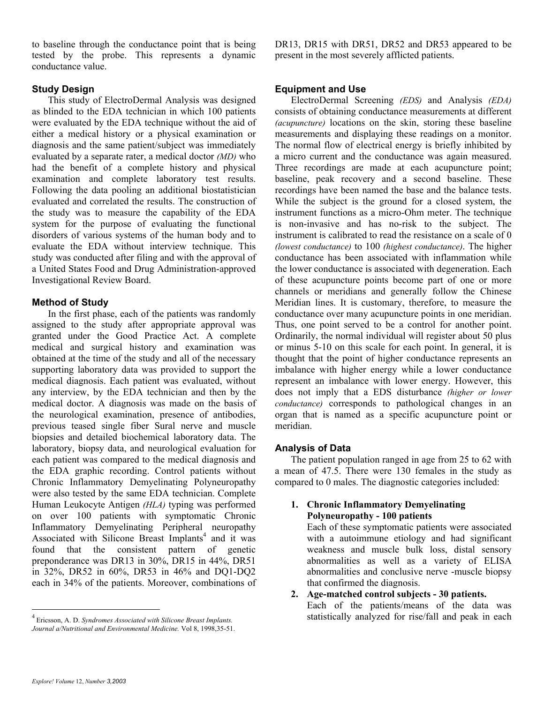to baseline through the conductance point that is being tested by the probe. This represents a dynamic conductance value.

# **Study Design**

This study of ElectroDermal Analysis was designed as blinded to the EDA technician in which 100 patients were evaluated by the EDA technique without the aid of either a medical history or a physical examination or diagnosis and the same patient/subject was immediately evaluated by a separate rater, a medical doctor *(MD)* who had the benefit of a complete history and physical examination and complete laboratory test results. Following the data pooling an additional biostatistician evaluated and correlated the results. The construction of the study was to measure the capability of the EDA system for the purpose of evaluating the functional disorders of various systems of the human body and to evaluate the EDA without interview technique. This study was conducted after filing and with the approval of a United States Food and Drug Administration-approved Investigational Review Board.

# **Method of Study**

In the first phase, each of the patients was randomly assigned to the study after appropriate approval was granted under the Good Practice Act. A complete medical and surgical history and examination was obtained at the time of the study and all of the necessary supporting laboratory data was provided to support the medical diagnosis. Each patient was evaluated, without any interview, by the EDA technician and then by the medical doctor. A diagnosis was made on the basis of the neurological examination, presence of antibodies, previous teased single fiber Sural nerve and muscle biopsies and detailed biochemical laboratory data. The laboratory, biopsy data, and neurological evaluation for each patient was compared to the medical diagnosis and the EDA graphic recording. Control patients without Chronic Inflammatory Demyelinating Polyneuropathy were also tested by the same EDA technician. Complete Human Leukocyte Antigen *(HLA)* typing was performed on over 100 patients with symptomatic Chronic Inflammatory Demyelinating Peripheral neuropathy Associated with Silicone Breast Implants<sup>4</sup> and it was found that the consistent pattern of genetic preponderance was DR13 in 30%, DR15 in 44%, DR51 in 32%, DR52 in 60%, DR53 in 46% and DQ1-DQ2 each in 34% of the patients. Moreover, combinations of DR13, DR15 with DR51, DR52 and DR53 appeared to be present in the most severely afflicted patients.

# **Equipment and Use**

ElectroDermal Screening *(EDS)* and Analysis *(EDA)* consists of obtaining conductance measurements at different *(acupuncture)* locations on the skin, storing these baseline measurements and displaying these readings on a monitor. The normal flow of electrical energy is briefly inhibited by a micro current and the conductance was again measured. Three recordings are made at each acupuncture point; baseline, peak recovery and a second baseline. These recordings have been named the base and the balance tests. While the subject is the ground for a closed system, the instrument functions as a micro-Ohm meter. The technique is non-invasive and has no-risk to the subject. The instrument is calibrated to read the resistance on a scale of 0 *(lowest conductance)* to 100 *(highest conductance)*. The higher conductance has been associated with inflammation while the lower conductance is associated with degeneration. Each of these acupuncture points become part of one or more channels or meridians and generally follow the Chinese Meridian lines. It is customary, therefore, to measure the conductance over many acupuncture points in one meridian. Thus, one point served to be a control for another point. Ordinarily, the normal individual will register about 50 plus or minus 5-10 on this scale for each point. In general, it is thought that the point of higher conductance represents an imbalance with higher energy while a lower conductance represent an imbalance with lower energy. However, this does not imply that a EDS disturbance *(higher or lower conductance)* corresponds to pathological changes in an organ that is named as a specific acupuncture point or meridian.

# **Analysis of Data**

The patient population ranged in age from 25 to 62 with a mean of 47.5. There were 130 females in the study as compared to 0 males. The diagnostic categories included:

# **1. Chronic Inflammatory Demyelinating Polyneuropathy - 100 patients**

Each of these symptomatic patients were associated with a autoimmune etiology and had significant weakness and muscle bulk loss, distal sensory abnormalities as well as a variety of ELISA abnormalities and conclusive nerve -muscle biopsy that confirmed the diagnosis.

# **2. Age-matched control subjects - 30 patients.**

Each of the patients/means of the data was statistically analyzed for rise/fall and peak in each

<sup>4</sup> Ericsson, A. D. *Syndromes Associated with Silicone Breast Implants. Journal a/Nutritional and Environmental Medicine.* Vol 8, 1998,35-51.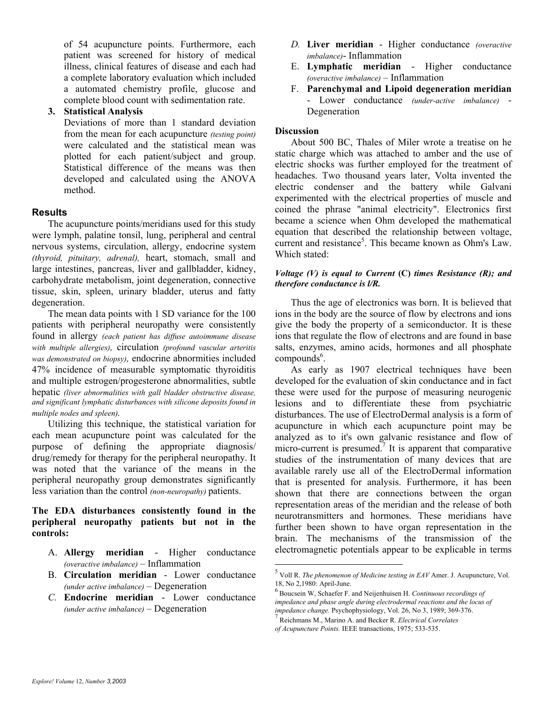of 54 acupuncture points. Furthermore, each patient was screened for history of medical illness, clinical features of disease and each had a complete laboratory evaluation which included a automated chemistry profile, glucose and complete blood count with sedimentation rate.

#### **3. Statistical Analysis**

Deviations of more than 1 standard deviation from the mean for each acupuncture *(testing point)* were calculated and the statistical mean was plotted for each patient/subject and group. Statistical difference of the means was then developed and calculated using the ANOVA method.

# **Results**

The acupuncture points/meridians used for this study were lymph, palatine tonsil, lung, peripheral and central nervous systems, circulation, allergy, endocrine system *(thyroid, pituitary, adrenal),* heart, stomach, small and large intestines, pancreas, liver and gallbladder, kidney, carbohydrate metabolism, joint degeneration, connective tissue, skin, spleen, urinary bladder, uterus and fatty degeneration.

The mean data points with 1 SD variance for the 100 patients with peripheral neuropathy were consistently found in allergy *(each patient has diffuse autoimmune disease with multiple allergies),* circulation *(profound vascular arteritis was demonstrated on biopsy),* endocrine abnormities included 47% incidence of measurable symptomatic thyroiditis and multiple estrogen/progesterone abnormalities, subtle hepatic *(liver abnormalities with gall bladder obstructive disease, and significant lymphatic disturbances with silicone deposits found in multiple nodes and spleen).* 

Utilizing this technique, the statistical variation for each mean acupuncture point was calculated for the purpose of defining the appropriate diagnosis/ drug/remedy for therapy for the peripheral neuropathy. It was noted that the variance of the means in the peripheral neuropathy group demonstrates significantly less variation than the control *(non-neuropathy)* patients.

# **The EDA disturbances consistently found in the peripheral neuropathy patients but not in the controls:**

- A. **Allergy meridian** Higher conductance *(overactive imbalance)* – Inflammation
- B. **Circulation meridian** Lower conductance *(under active imbalance)* – Degeneration
- *C.* **Endocrine meridian** Lower conductance *(under active imbalance)* – Degeneration
- *D.* **Liver meridian**  Higher conductance *(overactive imbalance)*- Inflammation
- E. **Lymphatic meridian** Higher conductance *(overactive imbalance)* – Inflammation
- F. **Parenchymal and Lipoid degeneration meridian** - Lower conductance *(under-active imbalance)* - Degeneration

### **Discussion**

About 500 BC, Thales of Miler wrote a treatise on he static charge which was attached to amber and the use of electric shocks was further employed for the treatment of headaches. Two thousand years later, Volta invented the electric condenser and the battery while Galvani experimented with the electrical properties of muscle and coined the phrase "animal electricity". Electronics first became a science when Ohm developed the mathematical equation that described the relationship between voltage, current and resistance<sup>5</sup>. This became known as Ohm's Law. Which stated:

#### *Voltage (V) is equal to Current* **(C)** *times Resistance (R); and therefore conductance is l/R.*

Thus the age of electronics was born. It is believed that ions in the body are the source of flow by electrons and ions give the body the property of a semiconductor. It is these ions that regulate the flow of electrons and are found in base salts, enzymes, amino acids, hormones and all phosphate  $compounds<sup>6</sup>$ .

As early as 1907 electrical techniques have been developed for the evaluation of skin conductance and in fact these were used for the purpose of measuring neurogenic lesions and to differentiate these from psychiatric disturbances. The use of ElectroDermal analysis is a form of acupuncture in which each acupuncture point may be analyzed as to it's own galvanic resistance and flow of micro-current is presumed.<sup>7</sup> It is apparent that comparative studies of the instrumentation of many devices that are available rarely use all of the ElectroDermal information that is presented for analysis. Furthermore, it has been shown that there are connections between the organ representation areas of the meridian and the release of both neurotransmitters and hormones. These meridians have further been shown to have organ representation in the brain. The mechanisms of the transmission of the electromagnetic potentials appear to be explicable in terms

<sup>5</sup> Voll R. *The phenomenon of Medicine testing in EAV* Amer. J. Acupuncture, Vol. 18, No 2,1980: April-June.

<sup>6</sup> Boucsein W, Schaefer F. and Neijenhuisen H. *Continuous recordings of impedance and phase angle during electrodermal reactions and the locus of impedance change.* Psychophysiology, Vol. 26, No 3, 1989; 369-376. 7

Reichmans M., Marino A. and Becker R. *Electrical Correlates of Acupuncture Points.* IEEE transactions, 1975; 533-535.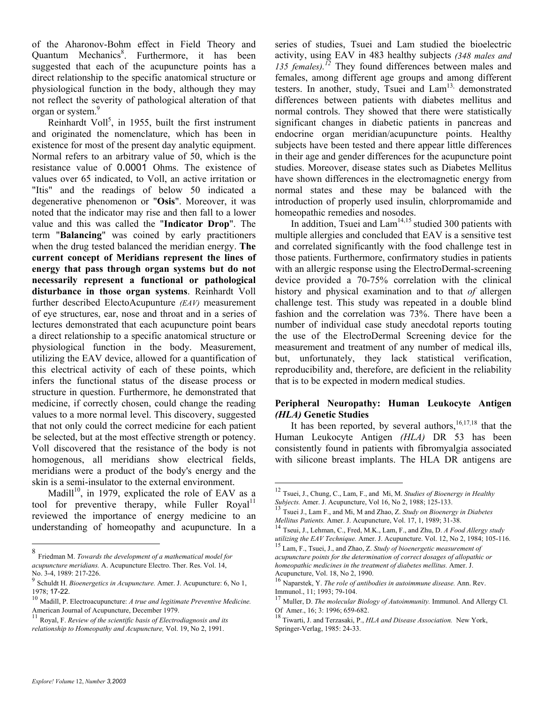of the Aharonov-Bohm effect in Field Theory and Quantum Mechanics<sup>8</sup>. Furthermore, it has been suggested that each of the acupuncture points has a direct relationship to the specific anatomical structure or physiological function in the body, although they may not reflect the severity of pathological alteration of that organ or system.<sup>9</sup>

Reinhardt Voll<sup>5</sup>, in 1955, built the first instrument and originated the nomenclature, which has been in existence for most of the present day analytic equipment. Normal refers to an arbitrary value of 50, which is the resistance value of 0.0001 Ohms. The existence of values over 65 indicated, to Voll, an active irritation or "Itis" and the readings of below 50 indicated a degenerative phenomenon or "**Osis**". Moreover, it was noted that the indicator may rise and then fall to a lower value and this was called the "**Indicator Drop**". The term "**Balancing**" was coined by early practitioners when the drug tested balanced the meridian energy. **The current concept of Meridians represent the lines of energy that pass through organ systems but do not necessarily represent a functional or pathological disturbance in those organ systems**. Reinhardt Voll further described ElectoAcupunture *(EAV)* measurement of eye structures, ear, nose and throat and in a series of lectures demonstrated that each acupuncture point bears a direct relationship to a specific anatomical structure or physiological function in the body. Measurement, utilizing the EAV device, allowed for a quantification of this electrical activity of each of these points, which infers the functional status of the disease process or structure in question. Furthermore, he demonstrated that medicine, if correctly chosen, could change the reading values to a more normal level. This discovery, suggested that not only could the correct medicine for each patient be selected, but at the most effective strength or potency. Voll discovered that the resistance of the body is not homogenous, all meridians show electrical fields, meridians were a product of the body's energy and the skin is a semi-insulator to the external environment.

Madill<sup>10</sup>, in 1979, explicated the role of EAV as a tool for preventive therapy, while Fuller Royal<sup>11</sup> reviewed the importance of energy medicine to an understanding of homeopathy and acupuncture. In a series of studies, Tsuei and Lam studied the bioelectric activity, using EAV in 483 healthy subjects *(348 males and*  135 females).<sup>12</sup> They found differences between males and females, among different age groups and among different testers. In another, study, Tsuei and Lam<sup>13,</sup> demonstrated differences between patients with diabetes mellitus and normal controls. They showed that there were statistically significant changes in diabetic patients in pancreas and endocrine organ meridian/acupuncture points. Healthy subjects have been tested and there appear little differences in their age and gender differences for the acupuncture point studies. Moreover, disease states such as Diabetes Mellitus have shown differences in the electromagnetic energy from normal states and these may be balanced with the introduction of properly used insulin, chlorpromamide and homeopathic remedies and nosodes.

In addition, Tsuei and  $\text{Lam}^{14,15}$  studied 300 patients with multiple allergies and concluded that EAV is a sensitive test and correlated significantly with the food challenge test in those patients. Furthermore, confirmatory studies in patients with an allergic response using the ElectroDermal-screening device provided a 70-75% correlation with the clinical history and physical examination and to that *of* allergen challenge test. This study was repeated in a double blind fashion and the correlation was 73%. There have been a number of individual case study anecdotal reports touting the use of the ElectroDermal Screening device for the measurement and treatment of any number of medical ills, but, unfortunately, they lack statistical verification, reproducibility and, therefore, are deficient in the reliability that is to be expected in modern medical studies.

# **Peripheral Neuropathy: Human Leukocyte Antigen**  *(HLA)* **Genetic Studies**

It has been reported, by several authors, $16,17,18$  that the Human Leukocyte Antigen *(HLA)* DR 53 has been consistently found in patients with fibromyalgia associated with silicone breast implants. The HLA DR antigens are

 $\overline{a}$ 

<sup>8</sup> Friedman M. *Towards the development of a mathematical model for acupuncture meridians.* A. Acupuncture Electro. Ther. Res. Vol. 14, No. 3-4, 1989: 217-226.

<sup>9</sup> Schuldt H. *Bioenergetics in Acupuncture.* Amer. J. Acupuncture: 6, No 1,

<sup>1978;</sup> **17-22.** 10 Madill, P. Electroacupuncture: *A true and legitimate Preventive Medicine.* <sup>10</sup> Madill, P. Electroacupuncture: *A true and legitimate Preventive Medicine*. American Journal of Acupuncture, December 1979.

<sup>11</sup> Royal, F. *Review of the scientific basis of Electrodiagnosis and its relationship to Homeopathy and Acupuncture,* Vol. 19, No 2, 1991.

<sup>&</sup>lt;sup>12</sup> Tsuei, J., Chung, C., Lam, F., and Mi, M. *Studies of Bioenergy in Healthy Subjects*. Amer. J. Acupuncture, Vol 16, No 2, 1988; 125-133.

<sup>&</sup>lt;sup>13</sup> Tsuei J., Lam F., and Mi, M and Zhao, Z. *Study on Bioenergy in Diabetes Mellitus Patients.* Amer. J. Acupuncture, Vol. 17, 1, 1989; 31-38.<br><sup>14</sup> Tseui, J., Lehman, C., Fred, M.K., Lam, F., and Zhu, D. *A Food Allergy study* 

*utilizing the EAV Technique.* Amer. J. Acupuncture. Vol. 12, No 2, 1984; 105-116. 15 Lam, F., Tsuei, J., and Zhao, Z. *Study of bioenergetic measurement of* 

*acupuncture points for the determination of correct dosages of allopathic or homeopathic medicines in the treatment of diabetes mellitus.* Amer. J. Acupuncture, Vol. 18, No 2, 1990.

<sup>16</sup> Naparstek, Y. *The role of antibodies in autoimmune disease.* Ann. Rev. Immunol., 11; 1993; 79-104.

<sup>17</sup> Muller, D. *The molecular Biology of Autoimmunity.* Immunol. And Allergy Cl. Of Amer., 16; 3: 1996; 659-682.

<sup>18</sup> Tiwarti, J. and Terzasaki, P., *HLA and Disease Association.* New York, Springer-Verlag, 1985: 24-33.